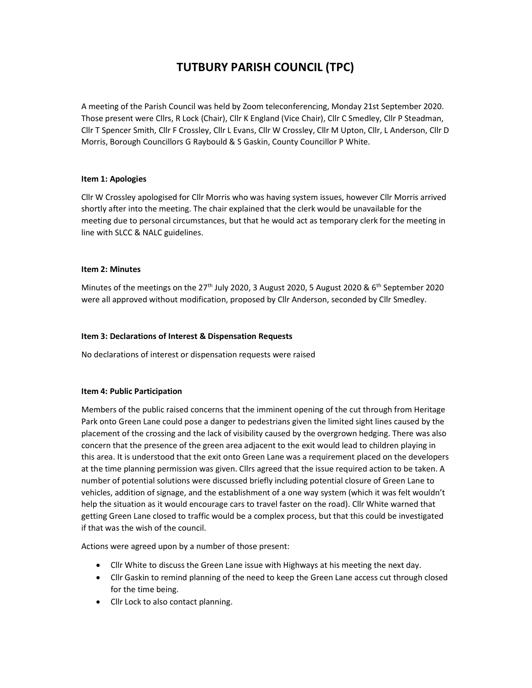# TUTBURY PARISH COUNCIL (TPC)

A meeting of the Parish Council was held by Zoom teleconferencing, Monday 21st September 2020. Those present were Cllrs, R Lock (Chair), Cllr K England (Vice Chair), Cllr C Smedley, Cllr P Steadman, Cllr T Spencer Smith, Cllr F Crossley, Cllr L Evans, Cllr W Crossley, Cllr M Upton, Cllr, L Anderson, Cllr D Morris, Borough Councillors G Raybould & S Gaskin, County Councillor P White.

# Item 1: Apologies

Cllr W Crossley apologised for Cllr Morris who was having system issues, however Cllr Morris arrived shortly after into the meeting. The chair explained that the clerk would be unavailable for the meeting due to personal circumstances, but that he would act as temporary clerk for the meeting in line with SLCC & NALC guidelines.

#### Item 2: Minutes

Minutes of the meetings on the 27<sup>th</sup> July 2020, 3 August 2020, 5 August 2020 & 6<sup>th</sup> September 2020 were all approved without modification, proposed by Cllr Anderson, seconded by Cllr Smedley.

#### Item 3: Declarations of Interest & Dispensation Requests

No declarations of interest or dispensation requests were raised

# Item 4: Public Participation

Members of the public raised concerns that the imminent opening of the cut through from Heritage Park onto Green Lane could pose a danger to pedestrians given the limited sight lines caused by the placement of the crossing and the lack of visibility caused by the overgrown hedging. There was also concern that the presence of the green area adjacent to the exit would lead to children playing in this area. It is understood that the exit onto Green Lane was a requirement placed on the developers at the time planning permission was given. Cllrs agreed that the issue required action to be taken. A number of potential solutions were discussed briefly including potential closure of Green Lane to vehicles, addition of signage, and the establishment of a one way system (which it was felt wouldn't help the situation as it would encourage cars to travel faster on the road). Cllr White warned that getting Green Lane closed to traffic would be a complex process, but that this could be investigated if that was the wish of the council.

Actions were agreed upon by a number of those present:

- Cllr White to discuss the Green Lane issue with Highways at his meeting the next day.
- Cllr Gaskin to remind planning of the need to keep the Green Lane access cut through closed for the time being.
- Cllr Lock to also contact planning.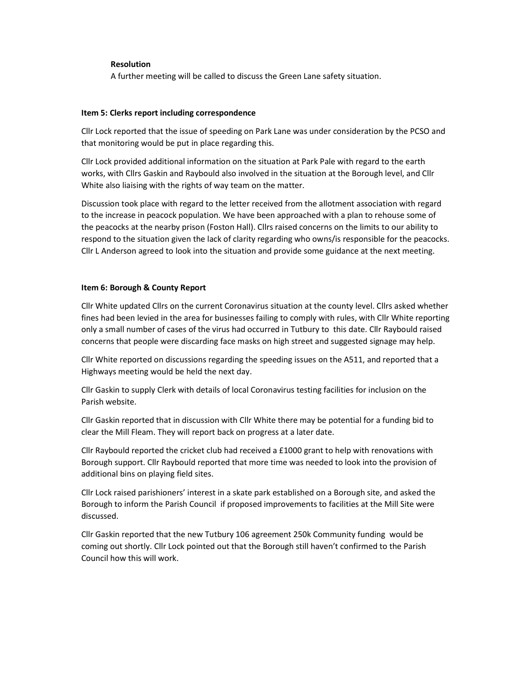#### Resolution

A further meeting will be called to discuss the Green Lane safety situation.

#### Item 5: Clerks report including correspondence

Cllr Lock reported that the issue of speeding on Park Lane was under consideration by the PCSO and that monitoring would be put in place regarding this.

Cllr Lock provided additional information on the situation at Park Pale with regard to the earth works, with Cllrs Gaskin and Raybould also involved in the situation at the Borough level, and Cllr White also liaising with the rights of way team on the matter.

Discussion took place with regard to the letter received from the allotment association with regard to the increase in peacock population. We have been approached with a plan to rehouse some of the peacocks at the nearby prison (Foston Hall). Cllrs raised concerns on the limits to our ability to respond to the situation given the lack of clarity regarding who owns/is responsible for the peacocks. Cllr L Anderson agreed to look into the situation and provide some guidance at the next meeting.

#### Item 6: Borough & County Report

Cllr White updated Cllrs on the current Coronavirus situation at the county level. Cllrs asked whether fines had been levied in the area for businesses failing to comply with rules, with Cllr White reporting only a small number of cases of the virus had occurred in Tutbury to this date. Cllr Raybould raised concerns that people were discarding face masks on high street and suggested signage may help.

Cllr White reported on discussions regarding the speeding issues on the A511, and reported that a Highways meeting would be held the next day.

Cllr Gaskin to supply Clerk with details of local Coronavirus testing facilities for inclusion on the Parish website.

Cllr Gaskin reported that in discussion with Cllr White there may be potential for a funding bid to clear the Mill Fleam. They will report back on progress at a later date.

Cllr Raybould reported the cricket club had received a £1000 grant to help with renovations with Borough support. Cllr Raybould reported that more time was needed to look into the provision of additional bins on playing field sites.

Cllr Lock raised parishioners' interest in a skate park established on a Borough site, and asked the Borough to inform the Parish Council if proposed improvements to facilities at the Mill Site were discussed.

Cllr Gaskin reported that the new Tutbury 106 agreement 250k Community funding would be coming out shortly. Cllr Lock pointed out that the Borough still haven't confirmed to the Parish Council how this will work.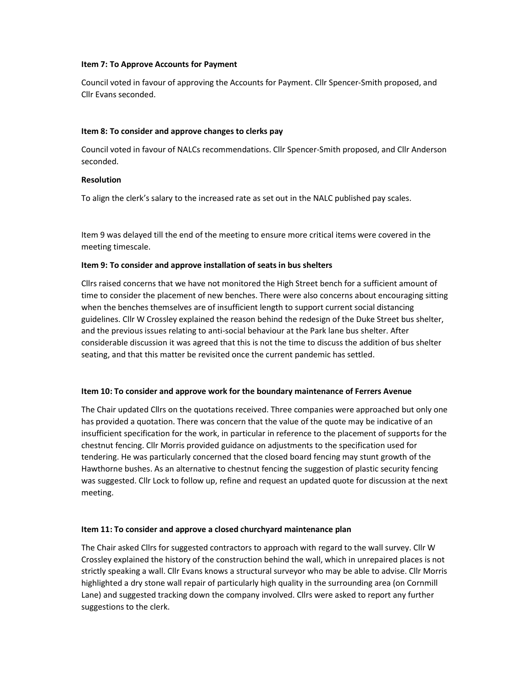#### Item 7: To Approve Accounts for Payment

Council voted in favour of approving the Accounts for Payment. Cllr Spencer-Smith proposed, and Cllr Evans seconded.

# Item 8: To consider and approve changes to clerks pay

Council voted in favour of NALCs recommendations. Cllr Spencer-Smith proposed, and Cllr Anderson seconded.

# Resolution

To align the clerk's salary to the increased rate as set out in the NALC published pay scales.

Item 9 was delayed till the end of the meeting to ensure more critical items were covered in the meeting timescale.

# Item 9: To consider and approve installation of seats in bus shelters

Cllrs raised concerns that we have not monitored the High Street bench for a sufficient amount of time to consider the placement of new benches. There were also concerns about encouraging sitting when the benches themselves are of insufficient length to support current social distancing guidelines. Cllr W Crossley explained the reason behind the redesign of the Duke Street bus shelter, and the previous issues relating to anti-social behaviour at the Park lane bus shelter. After considerable discussion it was agreed that this is not the time to discuss the addition of bus shelter seating, and that this matter be revisited once the current pandemic has settled.

# Item 10: To consider and approve work for the boundary maintenance of Ferrers Avenue

The Chair updated Cllrs on the quotations received. Three companies were approached but only one has provided a quotation. There was concern that the value of the quote may be indicative of an insufficient specification for the work, in particular in reference to the placement of supports for the chestnut fencing. Cllr Morris provided guidance on adjustments to the specification used for tendering. He was particularly concerned that the closed board fencing may stunt growth of the Hawthorne bushes. As an alternative to chestnut fencing the suggestion of plastic security fencing was suggested. Cllr Lock to follow up, refine and request an updated quote for discussion at the next meeting.

# Item 11: To consider and approve a closed churchyard maintenance plan

The Chair asked Cllrs for suggested contractors to approach with regard to the wall survey. Cllr W Crossley explained the history of the construction behind the wall, which in unrepaired places is not strictly speaking a wall. Cllr Evans knows a structural surveyor who may be able to advise. Cllr Morris highlighted a dry stone wall repair of particularly high quality in the surrounding area (on Cornmill Lane) and suggested tracking down the company involved. Cllrs were asked to report any further suggestions to the clerk.